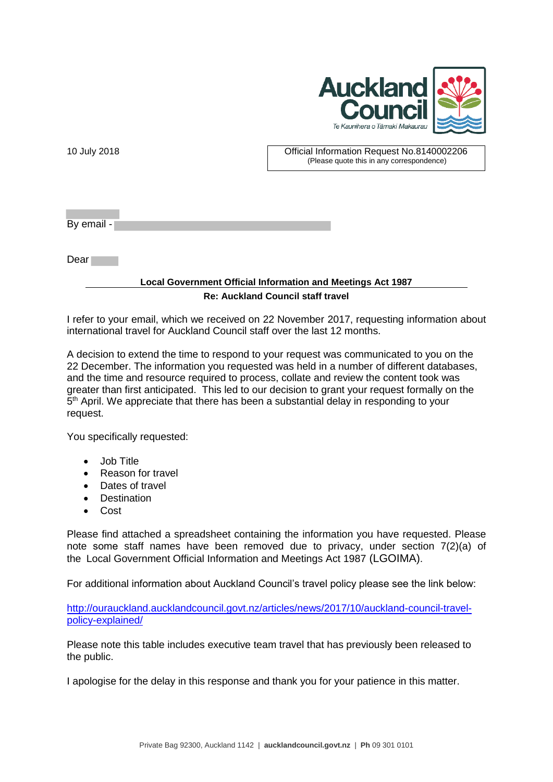

| 10 July 2018 | Official Information Request No.8140002206<br>(Please quote this in any correspondence) |
|--------------|-----------------------------------------------------------------------------------------|
|              |                                                                                         |
| By email -   |                                                                                         |
| Dear         |                                                                                         |
|              | <b>Local Government Official Information and Meetings Act 1987</b>                      |
|              | <b>Re: Auckland Council staff travel</b>                                                |

I refer to your email, which we received on 22 November 2017, requesting information about international travel for Auckland Council staff over the last 12 months.

A decision to extend the time to respond to your request was communicated to you on the 22 December. The information you requested was held in a number of different databases, and the time and resource required to process, collate and review the content took was greater than first anticipated. This led to our decision to grant your request formally on the 5<sup>th</sup> April. We appreciate that there has been a substantial delay in responding to your request.

You specifically requested:

- Job Title
- Reason for travel
- Dates of travel
- Destination
- Cost

Please find attached a spreadsheet containing the information you have requested. Please note some staff names have been removed due to privacy, under section 7(2)(a) of the Local Government Official Information and Meetings Act 1987 (LGOIMA).

For additional information about Auckland Council's travel policy please see the link below:

[http://ourauckland.aucklandcouncil.govt.nz/articles/news/2017/10/auckland-council-travel](http://ourauckland.aucklandcouncil.govt.nz/articles/news/2017/10/auckland-council-travel-policy-explained/)[policy-explained/](http://ourauckland.aucklandcouncil.govt.nz/articles/news/2017/10/auckland-council-travel-policy-explained/)

Please note this table includes executive team travel that has previously been released to the public.

I apologise for the delay in this response and thank you for your patience in this matter.